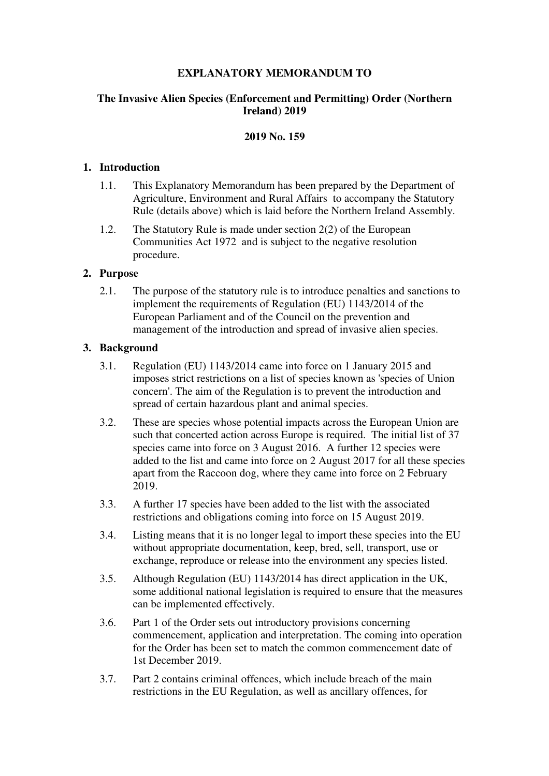# **EXPLANATORY MEMORANDUM TO**

# **The Invasive Alien Species (Enforcement and Permitting) Order (Northern Ireland) 2019**

## **2019 No. 159**

## **1. Introduction**

- 1.1. This Explanatory Memorandum has been prepared by the Department of Agriculture, Environment and Rural Affairs to accompany the Statutory Rule (details above) which is laid before the Northern Ireland Assembly.
- 1.2. The Statutory Rule is made under section 2(2) of the European Communities Act 1972 and is subject to the negative resolution procedure.

## **2. Purpose**

2.1. The purpose of the statutory rule is to introduce penalties and sanctions to implement the requirements of Regulation (EU) 1143/2014 of the European Parliament and of the Council on the prevention and management of the introduction and spread of invasive alien species.

## **3. Background**

- 3.1. Regulation (EU) 1143/2014 came into force on 1 January 2015 and imposes strict restrictions on a list of species known as 'species of Union concern'. The aim of the Regulation is to prevent the introduction and spread of certain hazardous plant and animal species.
- 3.2. These are species whose potential impacts across the European Union are such that concerted action across Europe is required. The initial list of 37 species came into force on 3 August 2016. A further 12 species were added to the list and came into force on 2 August 2017 for all these species apart from the Raccoon dog, where they came into force on 2 February 2019.
- 3.3. A further 17 species have been added to the list with the associated restrictions and obligations coming into force on 15 August 2019.
- 3.4. Listing means that it is no longer legal to import these species into the EU without appropriate documentation, keep, bred, sell, transport, use or exchange, reproduce or release into the environment any species listed.
- 3.5. Although Regulation (EU) 1143/2014 has direct application in the UK, some additional national legislation is required to ensure that the measures can be implemented effectively.
- 3.6. Part 1 of the Order sets out introductory provisions concerning commencement, application and interpretation. The coming into operation for the Order has been set to match the common commencement date of 1st December 2019.
- 3.7. Part 2 contains criminal offences, which include breach of the main restrictions in the EU Regulation, as well as ancillary offences, for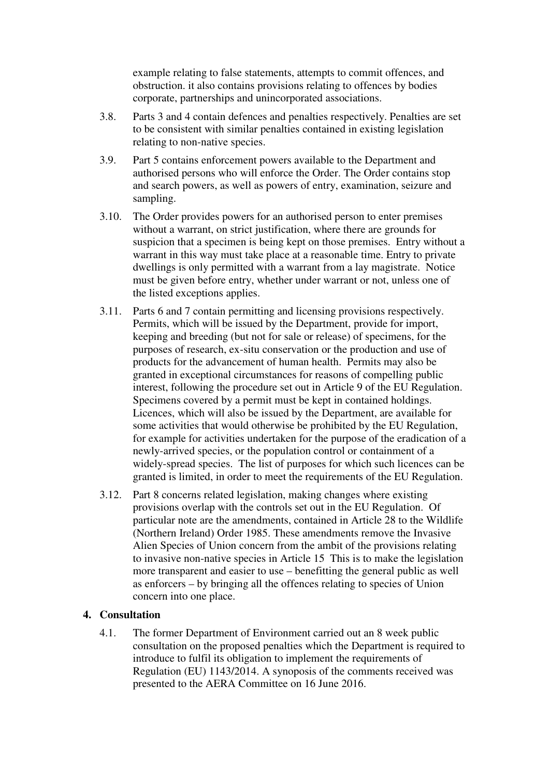example relating to false statements, attempts to commit offences, and obstruction. it also contains provisions relating to offences by bodies corporate, partnerships and unincorporated associations.

- 3.8. Parts 3 and 4 contain defences and penalties respectively. Penalties are set to be consistent with similar penalties contained in existing legislation relating to non-native species.
- 3.9. Part 5 contains enforcement powers available to the Department and authorised persons who will enforce the Order. The Order contains stop and search powers, as well as powers of entry, examination, seizure and sampling.
- 3.10. The Order provides powers for an authorised person to enter premises without a warrant, on strict justification, where there are grounds for suspicion that a specimen is being kept on those premises. Entry without a warrant in this way must take place at a reasonable time. Entry to private dwellings is only permitted with a warrant from a lay magistrate. Notice must be given before entry, whether under warrant or not, unless one of the listed exceptions applies.
- 3.11. Parts 6 and 7 contain permitting and licensing provisions respectively. Permits, which will be issued by the Department, provide for import, keeping and breeding (but not for sale or release) of specimens, for the purposes of research, ex-situ conservation or the production and use of products for the advancement of human health. Permits may also be granted in exceptional circumstances for reasons of compelling public interest, following the procedure set out in Article 9 of the EU Regulation. Specimens covered by a permit must be kept in contained holdings. Licences, which will also be issued by the Department, are available for some activities that would otherwise be prohibited by the EU Regulation, for example for activities undertaken for the purpose of the eradication of a newly-arrived species, or the population control or containment of a widely-spread species. The list of purposes for which such licences can be granted is limited, in order to meet the requirements of the EU Regulation.
- 3.12. Part 8 concerns related legislation, making changes where existing provisions overlap with the controls set out in the EU Regulation. Of particular note are the amendments, contained in Article 28 to the Wildlife (Northern Ireland) Order 1985. These amendments remove the Invasive Alien Species of Union concern from the ambit of the provisions relating to invasive non-native species in Article 15 This is to make the legislation more transparent and easier to use – benefitting the general public as well as enforcers – by bringing all the offences relating to species of Union concern into one place.

#### **4. Consultation**

4.1. The former Department of Environment carried out an 8 week public consultation on the proposed penalties which the Department is required to introduce to fulfil its obligation to implement the requirements of Regulation (EU) 1143/2014. A synoposis of the comments received was presented to the AERA Committee on 16 June 2016.